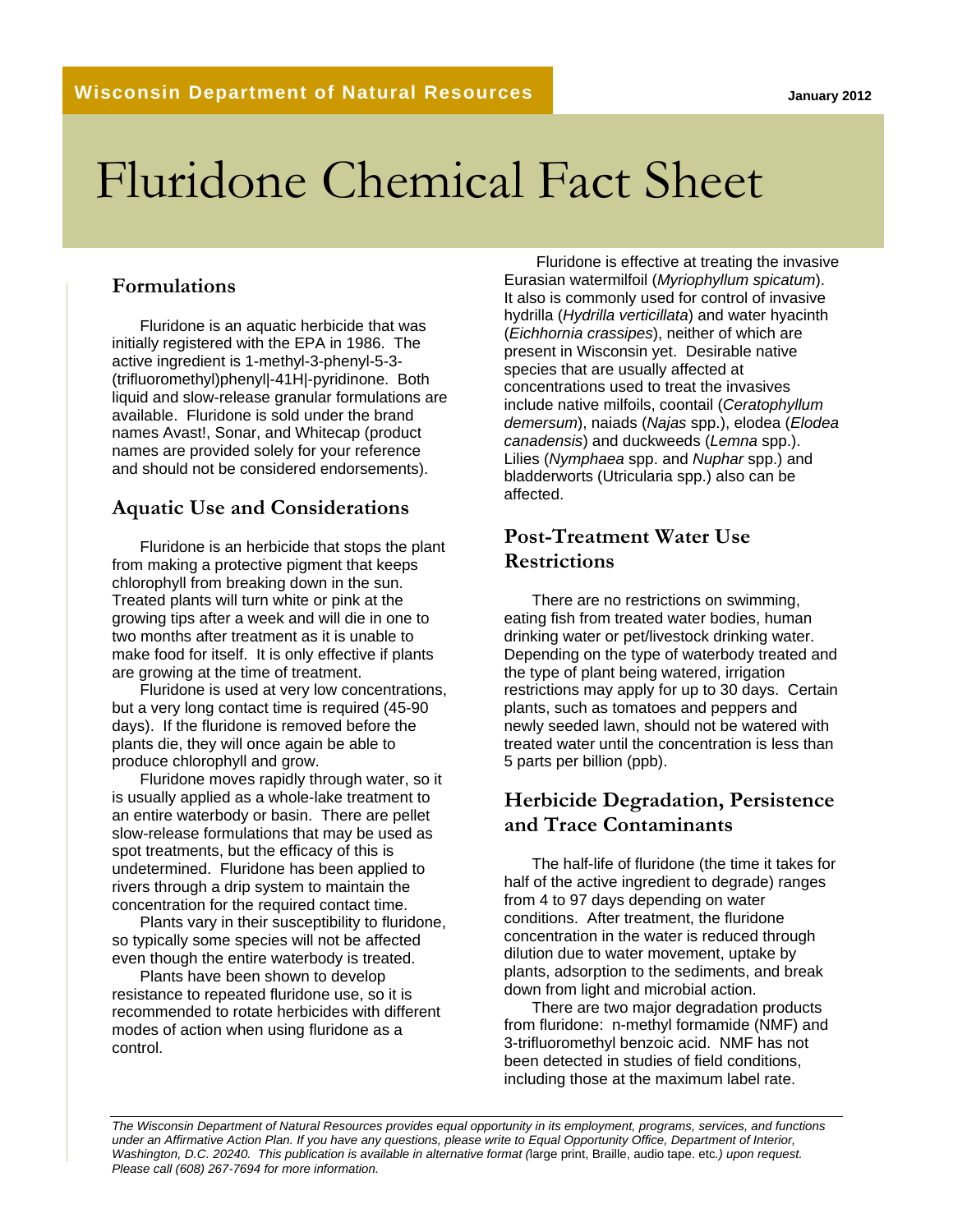# Fluridone Chemical Fact Sheet

#### **Formulations**

Fluridone is an aquatic herbicide that was initially registered with the EPA in 1986. The active ingredient is 1-methyl-3-phenyl-5-3- (trifluoromethyl)phenyl|-41H|-pyridinone. Both liquid and slow-release granular formulations are available. Fluridone is sold under the brand names Avast!, Sonar, and Whitecap (product names are provided solely for your reference and should not be considered endorsements).

#### **Aquatic Use and Considerations**

Fluridone is an herbicide that stops the plant from making a protective pigment that keeps chlorophyll from breaking down in the sun. Treated plants will turn white or pink at the growing tips after a week and will die in one to two months after treatment as it is unable to make food for itself. It is only effective if plants are growing at the time of treatment.

Fluridone is used at very low concentrations, but a very long contact time is required (45-90 days). If the fluridone is removed before the plants die, they will once again be able to produce chlorophyll and grow.

Fluridone moves rapidly through water, so it is usually applied as a whole-lake treatment to an entire waterbody or basin. There are pellet slow-release formulations that may be used as spot treatments, but the efficacy of this is undetermined. Fluridone has been applied to rivers through a drip system to maintain the concentration for the required contact time.

Plants vary in their susceptibility to fluridone, so typically some species will not be affected even though the entire waterbody is treated.

Plants have been shown to develop resistance to repeated fluridone use, so it is recommended to rotate herbicides with different modes of action when using fluridone as a control.

 Fluridone is effective at treating the invasive Eurasian watermilfoil (*Myriophyllum spicatum*). It also is commonly used for control of invasive hydrilla (*Hydrilla verticillata*) and water hyacinth (*Eichhornia crassipes*), neither of which are present in Wisconsin yet. Desirable native species that are usually affected at concentrations used to treat the invasives include native milfoils, coontail (*Ceratophyllum demersum*), naiads (*Najas* spp.), elodea (*Elodea canadensis*) and duckweeds (*Lemna* spp.). Lilies (*Nymphaea* spp. and *Nuphar* spp.) and bladderworts (Utricularia spp.) also can be affected.

## **Post-Treatment Water Use Restrictions**

There are no restrictions on swimming, eating fish from treated water bodies, human drinking water or pet/livestock drinking water. Depending on the type of waterbody treated and the type of plant being watered, irrigation restrictions may apply for up to 30 days. Certain plants, such as tomatoes and peppers and newly seeded lawn, should not be watered with treated water until the concentration is less than 5 parts per billion (ppb).

### **Herbicide Degradation, Persistence and Trace Contaminants**

The half-life of fluridone (the time it takes for half of the active ingredient to degrade) ranges from 4 to 97 days depending on water conditions. After treatment, the fluridone concentration in the water is reduced through dilution due to water movement, uptake by plants, adsorption to the sediments, and break down from light and microbial action.

There are two major degradation products from fluridone: n-methyl formamide (NMF) and 3-trifluoromethyl benzoic acid. NMF has not been detected in studies of field conditions, including those at the maximum label rate.

*The Wisconsin Department of Natural Resources provides equal opportunity in its employment, programs, services, and functions under an Affirmative Action Plan. If you have any questions, please write to Equal Opportunity Office, Department of Interior, Washington, D.C. 20240. This publication is available in alternative format (*large print, Braille, audio tape. etc*.) upon request. Please call (608) 267-7694 for more information.*